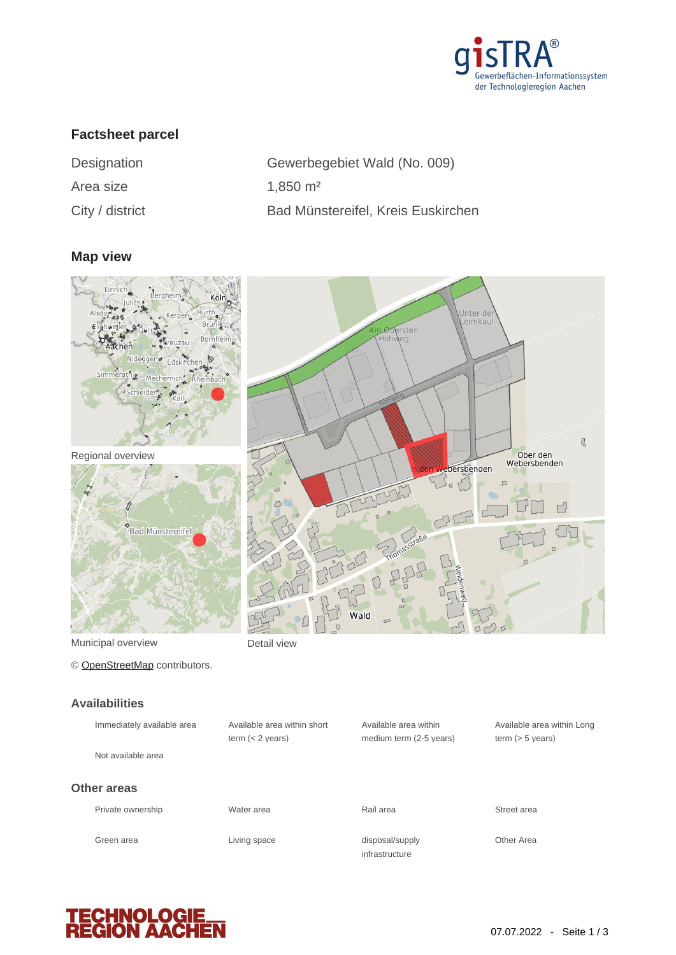

# **Factsheet parcel**

| Designation        |  |  |  |  |
|--------------------|--|--|--|--|
| Area size          |  |  |  |  |
| $Cith1$ / dictrict |  |  |  |  |

Gewerbegebiet Wald (No. 009)  $1,850 \text{ m}^2$ City / district Bad Münstereifel, Kreis Euskirchen

#### **Map view**



Municipal overview **Detail view** 

© [OpenStreetMap](http://www.openstreetmap.org/copyright) contributors.

#### **Availabilities**

| Immediately available area | Available area within short<br>term $(< 2$ years) | Available area within<br>medium term (2-5 years) | Available a<br>term $(> 5 v)$ |
|----------------------------|---------------------------------------------------|--------------------------------------------------|-------------------------------|
| Not available area         |                                                   |                                                  |                               |
| Other areas                |                                                   |                                                  |                               |
| Private ownership          | Water area                                        | Rail area                                        | Street area                   |
| Green area                 | Living space                                      | disposal/supply<br>infrastructure                | Other Area                    |

Available area within Long term (> 5 years)

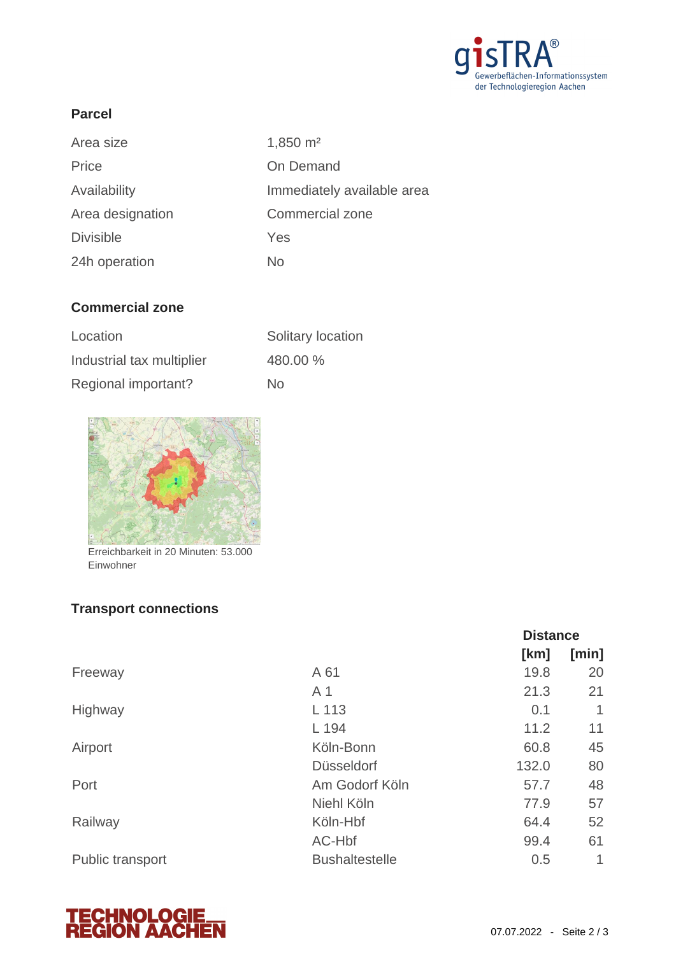

### **Parcel**

| Area size        | $1,850 \; \mathrm{m}^2$    |
|------------------|----------------------------|
| Price            | On Demand                  |
| Availability     | Immediately available area |
| Area designation | Commercial zone            |
| <b>Divisible</b> | Yes                        |
| 24h operation    | No                         |

## **Commercial zone**

| Location                  | Solitary location |
|---------------------------|-------------------|
| Industrial tax multiplier | 480.00 %          |
| Regional important?       | No.               |



Erreichbarkeit in 20 Minuten: 53.000 Einwohner

# **Transport connections**

|                  |                       | <b>Distance</b> |       |
|------------------|-----------------------|-----------------|-------|
|                  |                       | [km]            | [min] |
| Freeway          | A 61                  | 19.8            | 20    |
|                  | A <sub>1</sub>        | 21.3            | 21    |
| Highway          | L 113                 | 0.1             | 1     |
|                  | L 194                 | 11.2            | 11    |
| Airport          | Köln-Bonn             | 60.8            | 45    |
|                  | <b>Düsseldorf</b>     | 132.0           | 80    |
| Port             | Am Godorf Köln        | 57.7            | 48    |
|                  | Niehl Köln            | 77.9            | 57    |
| Railway          | Köln-Hbf              | 64.4            | 52    |
|                  | AC-Hbf                | 99.4            | 61    |
| Public transport | <b>Bushaltestelle</b> | 0.5             | 1     |